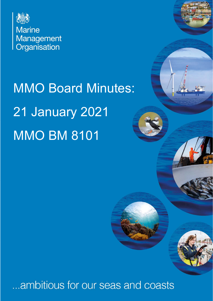

# MMO Board Minutes: 21 January 2021 **MMO BM 8101**

# ...ambitious for our seas and coasts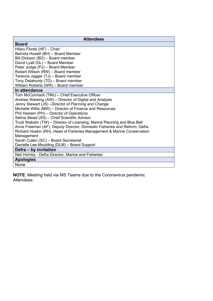| <b>Attendees</b>                                                          |  |  |
|---------------------------------------------------------------------------|--|--|
| <b>Board</b>                                                              |  |  |
| Hilary Florek (HF) - Chair                                                |  |  |
| Belinda Howell (BH) - Board Member                                        |  |  |
| Bill Dickson (BD) - Board member                                          |  |  |
| David Lyall (DL) - Board Member                                           |  |  |
| Peter Judge (PJ) - Board Member                                           |  |  |
| Robert Wilson (RW) - Board member                                         |  |  |
| Terence Jagger (TJ) - Board member                                        |  |  |
| Tony Delahunty (TD) - Board member                                        |  |  |
| William Roberts (WR) - Board member                                       |  |  |
| In attendance                                                             |  |  |
| Tom McCormack (TMc) - Chief Executive Officer                             |  |  |
| Andrew Wareing (AW) - Director of Digital and Analysis                    |  |  |
| Jenny Stewart (JS) -Director of Planning and Change                       |  |  |
| Michelle Willis (MW) – Director of Finance and Resources                  |  |  |
| Phil Haslam (PH) - Director of Operations                                 |  |  |
| Selina Stead (SS) - Chief Scientific Advisor                              |  |  |
| Trudi Wakelin (TW) - Director of Licensing, Marine Planning and Blue Belt |  |  |
| Anne Freeman (AF), Deputy Director, Domestic Fisheries and Reform, Defra  |  |  |
| Richard Hoskin (RH), Head of Fisheries Management & Marine Conservation   |  |  |
| Management                                                                |  |  |
| Sarah Cullen (SC) - Board Secretariat                                     |  |  |
| Danielle Lee-Moulding (DLM) - Board Support                               |  |  |
| Defra - by invitation                                                     |  |  |
| Neil Hornby - Defra Director, Marine and Fisheries                        |  |  |
| <b>Apologies</b>                                                          |  |  |
| None                                                                      |  |  |

**NOTE**: Meeting held via MS Teams due to the Coronavirus pandemic Attendees: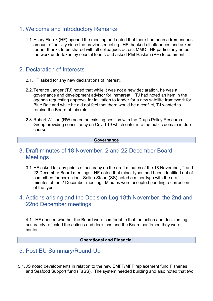#### 1. Welcome and Introductory Remarks

1.1. Hilary Florek (HF) opened the meeting and noted that there had been a tremendous amount of activity since the previous meeting. HF thanked all attendees and asked for her thanks to be shared with all colleagues across MMO. HF particularly noted the work undertaken by coastal teams and asked Phil Haslam (PH) to comment.

# 2. Declaration of Interests

- 2.1. HF asked for any new declarations of interest.
- 2.2. Terence Jagger (TJ) noted that while it was not a new declaration, he was a governance and development advisor for Immarsat. TJ had noted an item in the agenda requesting approval for invitation to tender for a new satellite framework for Blue Belt and while he did not feel that there would be a conflict, TJ wanted to remind the Board of this role.
- 2.3. Robert Wilson (RW) noted an existing position with the Drugs Policy Research Group providing consultancy on Covid 19 which enter into the public domain in due course.

#### **Governance**

#### 3. Draft minutes of 18 November, 2 and 22 December Board **Meetings**

3.1. HF asked for any points of accuracy on the draft minutes of the 18 November, 2 and 22 December Board meetings. HF noted that minor typos had been identified out of committee for correction. Selina Stead (SS) noted a minor typo with the draft minutes of the 2 December meeting. Minutes were accepted pending a correction of the typo's.

### 4. Actions arising and the Decision Log 18th November, the 2nd and 22nd December meetings

4.1 HF queried whether the Board were comfortable that the action and decision log accurately reflected the actions and decisions and the Board confirmed they were content.

#### **Operational and Financial**

#### 5. Post EU Summary/Round-Up

5.1. JS noted developments in relation to the new EMFF/MFF replacement fund Fisheries and Seafood Support fund (FaSS). The system needed building and also noted that two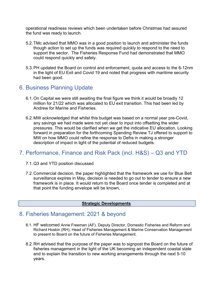operational readiness reviews which been undertaken before Christmas had assured the fund was ready to launch.

- 5.2. TMc advised that MMO was in a good position to launch and administer the funds though action to set up the funds was required quickly to respond to the need to support the sector. The Fisheries Response Fund had demonstrated that MMO could respond quickly and safely.
- 5.3. PH updated the Board on control and enforcement, quota and access to the 6-12nm in the light of EU Exit and Covid 19 and noted that progress with maritime security had been good.

# 6. Business Planning Update

- 6.1. On Capital we were still awaiting the final figure we think it would be broadly 12 million for 21/22 which was allocated to EU exit transition. This had been led by Andrew for Marine and Fisheries.
- 6.2. MW acknowledged that whilst this budget was based on a normal year pre-Covid, any savings we had made were not yet clear to input into offsetting the wider pressures. This would be clarified when we get the indicative EU allocation. Looking forward in preparation for the forthcoming Spending Review TJ offered to support to MW on how MMO could refine the response to Defra in making a stronger description of impact in light of the potential of reduced budgets.

# 7. Performance, Finance and Risk Pack (incl. H&S) – Q3 and YTD

- 7.1. Q3 and YTD position discussed
- 7.2. Commercial decision, the paper highlighted that the framework we use for Blue Belt surveillance expires in May, decision is needed to go out to tender to ensure a new framework is in place. It would return to the Board once tender is completed and at that point the funding envelope will be known, .

#### **Strategic Developments**

#### 8. Fisheries Management: 2021 & beyond

- 8.1. HF welcomed Anne Freeman (AF), Deputy Director, Domestic Fisheries and Reform and Richard Hoskin (RH), Head of Fisheries Management & Marine Conservation Management to present to Board on the future of Fisheries Management.
- 8.2. RH advised that the purpose of the paper was to signpost the Board on the future of fisheries management in the light of the UK becoming an independent coastal state and to explain the transition to new working arrangements through the next 5-10 years.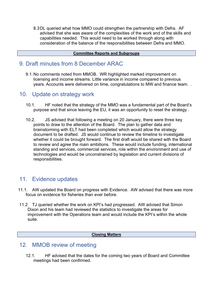8.3 DL queried what how MMO could strengthen the partnership with Defra. AF advised that she was aware of the complexities of the work and of the skills and capabilities needed. This would need to be worked through along with consideration of the balance of the responsibilities between Defra and MMO.

#### **Committee Reports and Subgroups**

#### 9. Draft minutes from 8 December ARAC

9.1. No comments noted from MMOB. WR highlighted marked improvement on licensing and income streams. Little variance in income compared to previous years. Accounts were delivered on time, congratulations to MW and finance team. .

#### 10. Update on strategy work

- 10.1. HF noted that the strategy of the MMO was a fundamental part of the Board's purpose and that since leaving the EU, it was an opportunity to reset the strategy .
- 10.2. JS advised that following a meeting on 20 January, there were three key points to draw to the attention of the Board. The plan to gather data and brainstorming with ELT had been completed which would allow the strategy document to be drafted. JS would continue to review the timeline to investigate whether it could be brought forward. The first draft would be shared with the Board to review and agree the main ambitions. These would include funding, international standing and services, commercial services, role within the environment and use of technologies and would be unconstrained by legislation and current divisions of responsibilities.

# 11. Evidence updates

- 11.1. AW updated the Board on progress with Evidence. AW advised that there was more focus on evidence for fisheries than ever before.
- 11.2 TJ queried whether the work on KPI's had progressed. AW advised that Simon Dixon and his team had reviewed the statistics to investigate the areas for improvement with the Operations team and would include the KPI's within the whole suite.

#### **Closing Matters**

#### 12. MMOB review of meeting

12.1. HF advised that the dates for the coming two years of Board and Committee meetings had been confirmed.